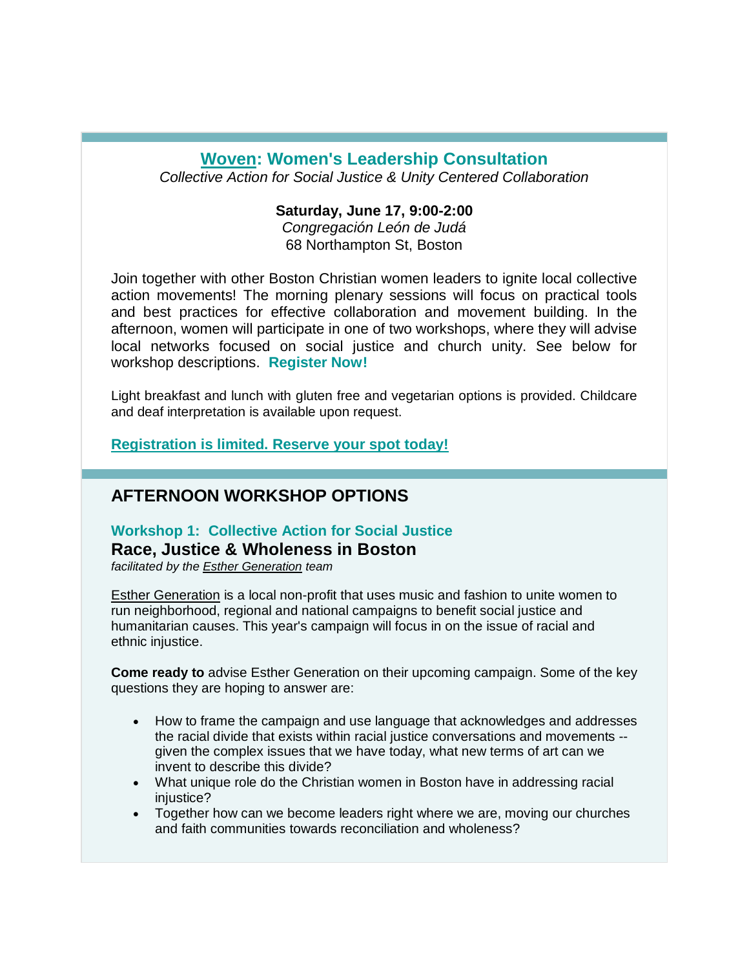## **[Woven:](http://r20.rs6.net/tn.jsp?t=sty98s9ab.0.6azknl9ab.9e6944bab.0&r=3&p=https%3A%2F%2Fwww.egc.org%2Fwoven%2F) Women's Leadership Consultation**

*Collective Action for Social Justice & Unity Centered Collaboration*

### **Saturday, June 17, 9:00-2:00**

*Congregación León de Judá* 68 Northampton St, Boston

Join together with other Boston Christian women leaders to ignite local collective action movements! The morning plenary sessions will focus on practical tools and best practices for effective collaboration and movement building. In the afternoon, women will participate in one of two workshops, where they will advise local networks focused on social justice and church unity. See below for workshop descriptions. **[Register Now!](http://r20.rs6.net/tn.jsp?t=sty98s9ab.0.9hy4uq9ab.9e6944bab.0&r=3&p=https%3A%2F%2Fgoo.gl%2Fforms%2FtV1HJJOQ6qBpgEth1)**

Light breakfast and lunch with gluten free and vegetarian options is provided. Childcare and deaf interpretation is available upon request.

**[Registration is limited. Reserve your spot today!](http://r20.rs6.net/tn.jsp?t=sty98s9ab.0.9hy4uq9ab.9e6944bab.0&r=3&p=https%3A%2F%2Fgoo.gl%2Fforms%2FtV1HJJOQ6qBpgEth1)**

### **AFTERNOON WORKSHOP OPTIONS**

# **Workshop 1: Collective Action for Social Justice**

**Race, Justice & Wholeness in Boston**

*facilitated by the [Esther Generation](http://r20.rs6.net/tn.jsp?t=sty98s9ab.0.bx85dwyab.9e6944bab.0&r=3&p=http%3A%2F%2Fwww.esthergeneration.org%2F) team*

[Esther Generation](http://r20.rs6.net/tn.jsp?t=sty98s9ab.0.bx85dwyab.9e6944bab.0&r=3&p=http%3A%2F%2Fwww.esthergeneration.org%2F) is a local non-profit that uses music and fashion to unite women to run neighborhood, regional and national campaigns to benefit social justice and humanitarian causes. This year's campaign will focus in on the issue of racial and ethnic injustice.

**Come ready to** advise Esther Generation on their upcoming campaign. Some of the key questions they are hoping to answer are:

- How to frame the campaign and use language that acknowledges and addresses the racial divide that exists within racial justice conversations and movements - given the complex issues that we have today, what new terms of art can we invent to describe this divide?
- What unique role do the Christian women in Boston have in addressing racial injustice?
- Together how can we become leaders right where we are, moving our churches and faith communities towards reconciliation and wholeness?